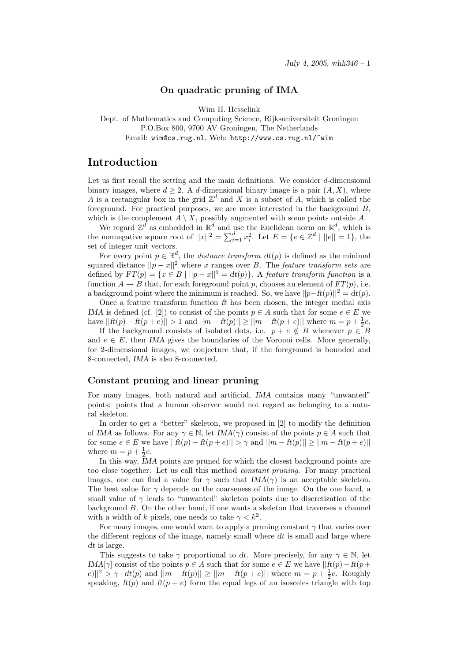### On quadratic pruning of IMA

Wim H. Hesselink

Dept. of Mathematics and Computing Science, Rijksuniversiteit Groningen P.O.Box 800, 9700 AV Groningen, The Netherlands Email: wim@cs.rug.nl, Web: http://www.cs.rug.nl/~wim

# Introduction

Let us first recall the setting and the main definitions. We consider d-dimensional binary images, where  $d \geq 2$ . A d-dimensional binary image is a pair  $(A, X)$ , where A is a rectangular box in the grid  $\mathbb{Z}^d$  and X is a subset of A, which is called the foreground. For practical purposes, we are more interested in the background  $B$ , which is the complement  $A \setminus X$ , possibly augmented with some points outside A.

We regard  $\mathbb{Z}^d$  as embedded in  $\mathbb{R}^d$  and use the Euclidean norm on  $\mathbb{R}^d$ , which is the nonnegative square root of  $||x||^2 = \sum_{i=1}^d x_i^2$ . Let  $E = \{e \in \mathbb{Z}^d \mid ||e|| = 1\}$ , the set of integer unit vectors.

For every point  $p \in \mathbb{R}^d$ , the *distance transform*  $dt(p)$  is defined as the minimal squared distance  $||p - x||^2$  where x ranges over B. The feature transform sets are defined by  $FT(p) = \{x \in B \mid ||p-x||^2 = dt(p)\}\)$ . A feature transform function is a function  $A \to B$  that, for each foreground point p, chooses an element of  $FT(p)$ , i.e. a background point where the minimum is reached. So, we have  $||p-ft(p)||^2 = dt(p)$ .

Once a feature transform function ft has been chosen, the integer medial axis IMA is defined (cf. [2]) to consist of the points  $p \in A$  such that for some  $e \in E$  we have  $||ft(p) - ft(p + e)|| > 1$  and  $||m - ft(p)|| \ge ||m - ft(p + e)||$  where  $m = p + \frac{1}{2}e$ .

If the background consists of isolated dots, i.e.  $p + e \notin B$  whenever  $p \in B$ and  $e \in E$ , then *IMA* gives the boundaries of the Voronoi cells. More generally, for 2-dimensional images, we conjecture that, if the foreground is bounded and 8-connected, IMA is also 8-connected.

#### Constant pruning and linear pruning

For many images, both natural and artificial, IMA contains many "unwanted" points: points that a human observer would not regard as belonging to a natural skeleton.

In order to get a "better" skeleton, we proposed in [2] to modify the definition of IMA as follows. For any  $\gamma \in \mathbb{N}$ , let IMA( $\gamma$ ) consist of the points  $p \in A$  such that for some  $e \in E$  we have  $||ft(p) - ft(p + e)|| > \gamma$  and  $||m - ft(p)|| \ge ||m - ft(p + e)||$ where  $m = p + \frac{1}{2}e$ .

In this way, IMA points are pruned for which the closest background points are too close together. Let us call this method constant pruning. For many practical images, one can find a value for  $\gamma$  such that  $IMA(\gamma)$  is an acceptable skeleton. The best value for  $\gamma$  depends on the coarseness of the image. On the one hand, a small value of  $\gamma$  leads to "unwanted" skeleton points due to discretization of the background B. On the other hand, if one wants a skeleton that traverses a channel with a width of k pixels, one needs to take  $\gamma < k^2$ .

For many images, one would want to apply a pruning constant  $\gamma$  that varies over the different regions of the image, namely small where  $dt$  is small and large where dt is large.

This suggests to take  $\gamma$  proportional to dt. More precisely, for any  $\gamma \in \mathbb{N}$ , let IMA[ $\gamma$ ] consist of the points  $p \in A$  such that for some  $e \in E$  we have  $|| \hat{f}(p) - f(p +$  $|e||^2 > \gamma \cdot dt(p)$  and  $||m - ft(p)|| \ge ||m - ft(p + e)||$  where  $m = p + \frac{1}{2}e$ . Roughly speaking,  $f(t(p))$  and  $f(t(p + e))$  form the equal legs of an isosceles triangle with top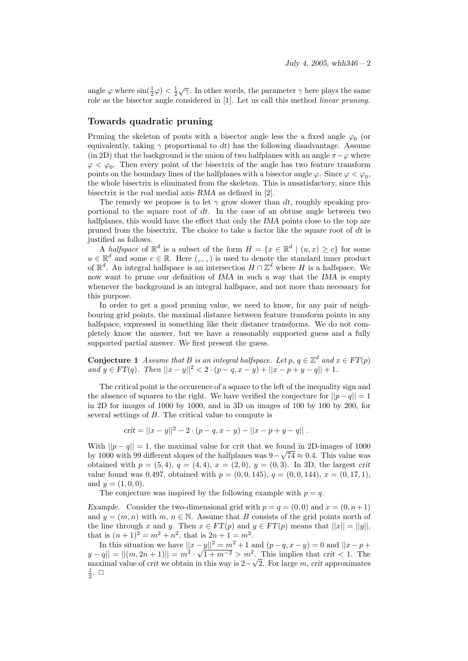angle  $\varphi$  where  $\sin(\frac{1}{2}\varphi) < \frac{1}{2}\sqrt{\gamma}$ . In other words, the parameter  $\gamma$  here plays the same role as the bisector angle considered in [1]. Let us call this method linear pruning.

### Towards quadratic pruning

Pruning the skeleton of ponts with a bisector angle less the a fixed angle  $\varphi_0$  (or equivalently, taking  $\gamma$  proportional to dt) has the following disadvantage. Assume (in 2D) that the background is the union of two halfplanes with an angle  $\pi-\varphi$  where  $\varphi < \varphi_0$ . Then every point of the bisectrix of the angle has two feature transform points on the boundary lines of the halfplanes with a bisector angle  $\varphi$ . Since  $\varphi < \varphi_0$ , the whole bisectrix is eliminated from the skeleton. This is unsatisfactory, since this bisectrix is the real medial axis RMA as defined in [2].

The remedy we propose is to let  $\gamma$  grow slower than dt, roughly speaking proportional to the square root of dt. In the case of an obtuse angle between two halfplanes, this would have the effect that only the IMA points close to the top are pruned from the bisectrix. The choice to take a factor like the square root of  $dt$  is justified as follows.

A halfspace of  $\mathbb{R}^d$  is a subset of the form  $H = \{x \in \mathbb{R}^d \mid (u, x) \geq c\}$  for some  $u \in \mathbb{R}^d$  and some  $c \in \mathbb{R}$ . Here  $(\_ , \_ )$  is used to denote the standard inner product of  $\mathbb{R}^d$ . An integral halfspace is an intersection  $H \cap \mathbb{Z}^d$  where H is a halfspace. We now want to prune our definition of IMA in such a way that the IMA is empty whenever the background is an integral halfspace, and not more than necessary for this purpose.

In order to get a good pruning value, we need to know, for any pair of neighbouring grid points, the maximal distance between feature transform points in any halfspace, expressed in something like their distance transforms. We do not completely know the answer, but we have a reasonably supported guess and a fully supported partial answer. We first present the guess.

**Conjecture 1** Assume that B is an integral halfspace. Let p,  $q \in \mathbb{Z}^d$  and  $x \in FT(p)$ and  $y \in FT(q)$ . Then  $||x - y||^2 < 2 \cdot (p - q, x - y) + ||x - p + y - q|| + 1$ .

The critical point is the occurence of a square to the left of the inequality sign and the absence of squares to the right. We have verified the conjecture for  $||p - q|| = 1$ in 2D for images of 1000 by 1000, and in 3D on images of 100 by 100 by 200, for several settings of B. The critical value to compute is

$$
crit = ||x - y||2 - 2 \cdot (p - q, x - y) - ||x - p + y - q||.
$$

With  $||p - q|| = 1$ , the maximal value for crit that we found in 2D-images of 1000 by 1000 with 99 different slopes of the halfplanes was  $9 - \sqrt{74} \approx 0.4$ . This value was obtained with  $p = (5, 4), q = (4, 4), x = (2, 0), y = (0, 3)$ . In 3D, the largest crit value found was 0.497, obtained with  $p = (0, 0, 145)$ ,  $q = (0, 0, 144)$ ,  $x = (0, 17, 1)$ , and  $y = (1, 0, 0)$ .

The conjecture was inspired by the following example with  $p = q$ .

Example. Consider the two-dimensional grid with  $p = q = (0, 0)$  and  $x = (0, n+1)$ and  $y = (m, n)$  with  $m, n \in \mathbb{N}$ . Assume that B consists of the grid points north of the line through x and y. Then  $x \in FT(p)$  and  $y \in FT(p)$  means that  $||x|| = ||y||$ , that is  $(n+1)^2 = m^2 + n^2$ , that is  $2n + 1 = m^2$ .

In this situation we have  $||x - y||^2 = m^2 + 1$  and  $(p - q, x - y) = 0$  and  $||x - p + y||^2 = m$  $|y-q|| = ||(m, 2n + 1)|| = m<sup>2</sup>$  $\frac{-y||^2}{\sqrt{1+m^{-2}}} > m^2$ . This implies that crit < 1. The maximal value of crit we obtain in this way is 2− √ 2. For large  $m$ , crit approximates  $\frac{1}{2}$ .  $\Box$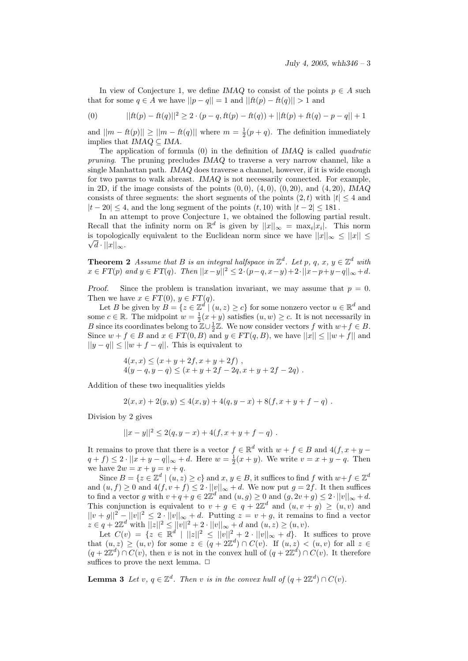In view of Conjecture 1, we define IMAQ to consist of the points  $p \in A$  such that for some  $q \in A$  we have  $||p - q|| = 1$  and  $||ft(p) - ft(q)|| > 1$  and

(0) 
$$
||ft(p) - ft(q)||^2 \ge 2 \cdot (p - q, ft(p) - ft(q)) + ||ft(p) + ft(q) - p - q|| + 1
$$

and  $||m - ft(p)|| \ge ||m - ft(q)||$  where  $m = \frac{1}{2}(p + q)$ . The definition immediately implies that  $IMAQ \subseteq IMA$ .

The application of formula  $(0)$  in the definition of IMAQ is called *quadratic* pruning. The pruning precludes IMAQ to traverse a very narrow channel, like a single Manhattan path. IMAQ does traverse a channel, however, if it is wide enough for two pawns to walk abreast. IMAQ is not necessarily connected. For example, in 2D, if the image consists of the points  $(0, 0), (4, 0), (0, 20),$  and  $(4, 20),$  IMAQ consists of three segments: the short segments of the points  $(2,t)$  with  $|t| \leq 4$  and  $|t - 20| \leq 4$ , and the long segment of the points  $(t, 10)$  with  $|t - 2| \leq 181$ .

In an attempt to prove Conjecture 1, we obtained the following partial result. Recall that the infinity norm on  $\mathbb{R}^d$  is given by  $||x||_{\infty} = \max_i |x_i|$ . This norm is topologically equivalent to the Euclidean norm since we have  $||x||_{\infty} \leq ||x|| \leq$  $\sqrt{d} \cdot ||x||_{\infty}$ .

**Theorem 2** Assume that B is an integral halfspace in  $\mathbb{Z}^d$ . Let p, q, x,  $y \in \mathbb{Z}^d$  with  $x \in FT(p)$  and  $y \in FT(q)$ . Then  $||x-y||^2 \leq 2 \cdot (p-q, x-y)+2 \cdot ||x-p+y-q||_{\infty} + d$ .

Proof. Since the problem is translation invariant, we may assume that  $p = 0$ . Then we have  $x \in FT(0), y \in FT(q)$ .

Let B be given by  $B = \{z \in \mathbb{Z}^d \mid (u, z) \ge c\}$  for some nonzero vector  $u \in \mathbb{R}^d$  and some  $c \in \mathbb{R}$ . The midpoint  $w = \frac{1}{2}(x+y)$  satisfies  $(u, w) \ge c$ . It is not necessarily in B since its coordinates belong to  $\mathbb{Z} \cup \frac{1}{2} \mathbb{Z}$ . We now consider vectors f with  $w+f \in B$ . Since  $w + f \in B$  and  $x \in FT(0, B)$  and  $y \in FT(q, B)$ , we have  $||x|| \le ||w + f||$  and  $||y - q|| \le ||w + f - q||$ . This is equivalent to

$$
4(x,x) \le (x+y+2f, x+y+2f) ,4(y-q, y-q) \le (x+y+2f-2q, x+y+2f-2q) .
$$

Addition of these two inequalities yields

$$
2(x, x) + 2(y, y) \le 4(x, y) + 4(q, y - x) + 8(f, x + y + f - q) .
$$

Division by 2 gives

$$
||x-y||^2 \le 2(q, y-x) + 4(f, x+y+f-q) .
$$

It remains to prove that there is a vector  $f \in \mathbb{R}^d$  with  $w + f \in B$  and  $4(f, x + y (q + f) \leq 2 \cdot ||x + y - q||_{\infty} + d.$  Here  $w = \frac{1}{2}(x + y)$ . We write  $v = x + y - q$ . Then we have  $2w = x + y = v + q$ .

Since  $B = \{z \in \mathbb{Z}^d \mid (u, z) \ge c\}$  and  $x, y \in B$ , it suffices to find f with  $w + f \in \mathbb{Z}^d$ and  $(u, f) \geq 0$  and  $4(f, v + f) \leq 2 \cdot ||v||_{\infty} + d$ . We now put  $g = 2f$ . It then suffices to find a vector g with  $v + q + g \in 2\mathbb{Z}^d$  and  $(u, g) \geq 0$  and  $(g, 2v + g) \leq 2 \cdot ||v||_{\infty} + d$ . This conjunction is equivalent to  $v + g \in q + 2\mathbb{Z}^d$  and  $(u, v + g) \ge (u, v)$  and  $||v + g||^2 - ||v||^2 \leq 2 \cdot ||v||_{\infty} + d$ . Putting  $z = v + g$ , it remains to find a vector  $z \in q + 2\mathbb{Z}^d$  with  $||z||^2 \le ||v||^2 + 2 \cdot ||v||_{\infty} + d$  and  $(u, z) \ge (u, v)$ .

Let  $C(v) = \{z \in \mathbb{R}^d \mid ||z||^2 \le ||v||^2 + 2 \cdot ||v||_{\infty} + d\}$ . It suffices to prove that  $(u, z) \ge (u, v)$  for some  $z \in (q + 2\mathbb{Z}^d) \cap C(v)$ . If  $(u, z) < (u, v)$  for all  $z \in$  $(q+2\mathbb{Z}^d)\cap C(v)$ , then v is not in the convex hull of  $(q+2\mathbb{Z}^d)\cap C(v)$ . It therefore suffices to prove the next lemma.  $\Box$ 

**Lemma 3** Let  $v, q \in \mathbb{Z}^d$ . Then v is in the convex hull of  $(q + 2\mathbb{Z}^d) \cap C(v)$ .